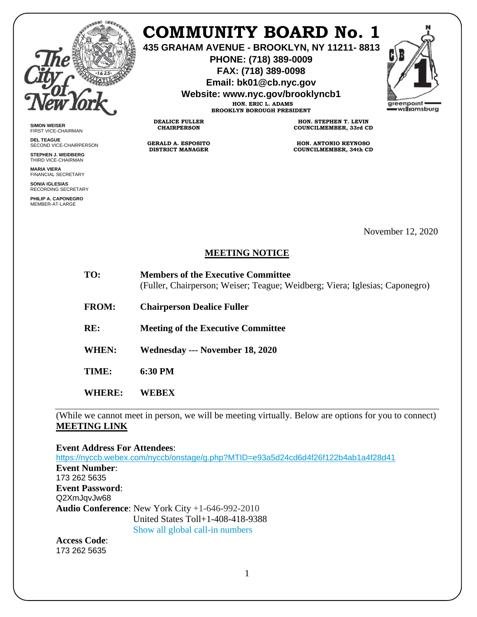

**SIMON WEISER** FIRST VICE-CHAIRMAN **DEL TEAGUE**

SECOND VICE-CHAIRPERSON **STEPHEN J. WEIDBERG** THIRD VICE-CHAIRMAN **MARIA VIERA** FINANCIAL SECRETARY **SONIA IGLESIAS** RECORDING SECRETARY **PHILIP A. CAPONEGRO** MEMBER-AT-LARGE

## **COMMUNITY BOARD No. 1**

**435 GRAHAM AVENUE - BROOKLYN, NY 11211- 8813**

**PHONE: (718) 389-0009 FAX: (718) 389-0098**

**Email: bk01@cb.nyc.gov**

**Website: www.nyc.gov/brooklyncb1**

**HON. ERIC L. ADAMS BROOKLYN BOROUGH PRESIDENT**

**DEALICE FULLER CHAIRPERSON**

**GERALD A. ESPOSITO DISTRICT MANAGER**

**HON. STEPHEN T. LEVIN COUNCILMEMBER, 33rd CD**

**HON. ANTONIO REYNOSO COUNCILMEMBER, 34th CD**

November 12, 2020

## **MEETING NOTICE**

| TO: | <b>Members of the Executive Committee</b>                                   |
|-----|-----------------------------------------------------------------------------|
|     | (Fuller, Chairperson; Weiser; Teague; Weidberg; Viera; Iglesias; Caponegro) |

**FROM: Chairperson Dealice Fuller** 

**RE: Meeting of the Executive Committee**

**WHEN: Wednesday --- November 18, 2020**

**TIME: 6:30 PM**

**WHERE: WEBEX** 

(While we cannot meet in person, we will be meeting virtually. Below are options for you to connect) **MEETING LINK** 

**Event Address For Attendees**:

<https://nyccb.webex.com/nyccb/onstage/g.php?MTID=e93a5d24cd6d4f26f122b4ab1a4f28d41> **Event Number**: 173 262 5635 **Event Password**: Q2XmJqvJw68 **Audio Conference**: New York City +1-646-992-2010 United States Toll+1-408-418-9388 Show all global call-in numbers

**Access Code**: 173 262 5635